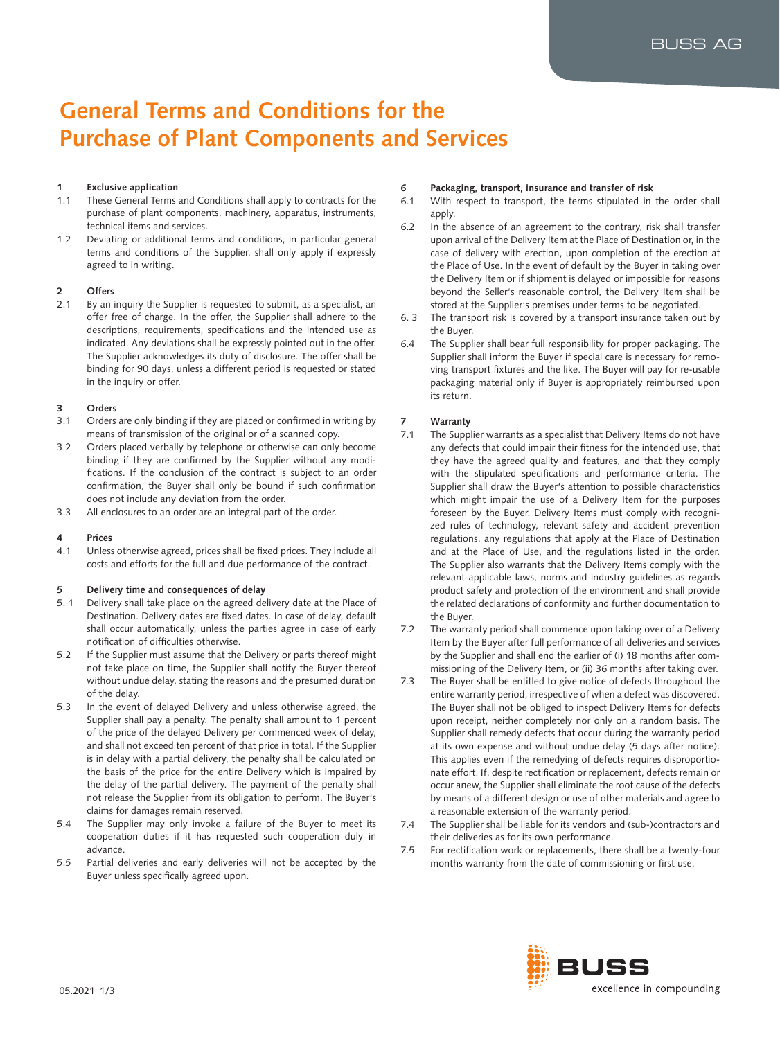# **General Terms and Conditions for the Purchase of Plant Components and Services**

# **1 Exclusive application**

- 1.1 These General Terms and Conditions shall apply to contracts for the purchase of plant components, machinery, apparatus, instruments, technical items and services.
- 1.2 Deviating or additional terms and conditions, in particular general terms and conditions of the Supplier, shall only apply if expressly agreed to in writing.

# **2 Offers**

2.1 By an inquiry the Supplier is requested to submit, as a specialist, an offer free of charge. In the offer, the Supplier shall adhere to the descriptions, requirements, specifications and the intended use as indicated. Any deviations shall be expressly pointed out in the offer. The Supplier acknowledges its duty of disclosure. The offer shall be binding for 90 days, unless a different period is requested or stated in the inquiry or offer.

# **3 Orders**

- 3.1 Orders are only binding if they are placed or confirmed in writing by means of transmission of the original or of a scanned copy.
- 3.2 Orders placed verbally by telephone or otherwise can only become binding if they are confirmed by the Supplier without any modifications. If the conclusion of the contract is subject to an order confirmation, the Buyer shall only be bound if such confirmation does not include any deviation from the order.
- 3.3 All enclosures to an order are an integral part of the order.

# **4 Prices**

4.1 Unless otherwise agreed, prices shall be fixed prices. They include all costs and efforts for the full and due performance of the contract.

# **5 Delivery time and consequences of delay**

- 5. 1 Delivery shall take place on the agreed delivery date at the Place of Destination. Delivery dates are fixed dates. In case of delay, default shall occur automatically, unless the parties agree in case of early notification of difficulties otherwise.
- 5.2 If the Supplier must assume that the Delivery or parts thereof might not take place on time, the Supplier shall notify the Buyer thereof without undue delay, stating the reasons and the presumed duration of the delay.
- 5.3 In the event of delayed Delivery and unless otherwise agreed, the Supplier shall pay a penalty. The penalty shall amount to 1 percent of the price of the delayed Delivery per commenced week of delay, and shall not exceed ten percent of that price in total. If the Supplier is in delay with a partial delivery, the penalty shall be calculated on the basis of the price for the entire Delivery which is impaired by the delay of the partial delivery. The payment of the penalty shall not release the Supplier from its obligation to perform. The Buyer's claims for damages remain reserved.
- 5.4 The Supplier may only invoke a failure of the Buyer to meet its cooperation duties if it has requested such cooperation duly in advance.
- 5.5 Partial deliveries and early deliveries will not be accepted by the Buyer unless specifically agreed upon.

# **6 Packaging, transport, insurance and transfer of risk**

- 6.1 With respect to transport, the terms stipulated in the order shall apply.
- 6.2 In the absence of an agreement to the contrary, risk shall transfer upon arrival of the Delivery Item at the Place of Destination or, in the case of delivery with erection, upon completion of the erection at the Place of Use. In the event of default by the Buyer in taking over the Delivery Item or if shipment is delayed or impossible for reasons beyond the Seller's reasonable control, the Delivery Item shall be stored at the Supplier's premises under terms to be negotiated.
- 6. 3 The transport risk is covered by a transport insurance taken out by the Buyer.
- 6.4 The Supplier shall bear full responsibility for proper packaging. The Supplier shall inform the Buyer if special care is necessary for removing transport fixtures and the like. The Buyer will pay for re-usable packaging material only if Buyer is appropriately reimbursed upon its return.

# **7 Warranty**

- 7.1 The Supplier warrants as a specialist that Delivery Items do not have any defects that could impair their fitness for the intended use, that they have the agreed quality and features, and that they comply with the stipulated specifications and performance criteria. The Supplier shall draw the Buyer's attention to possible characteristics which might impair the use of a Delivery Item for the purposes foreseen by the Buyer. Delivery Items must comply with recognized rules of technology, relevant safety and accident prevention regulations, any regulations that apply at the Place of Destination and at the Place of Use, and the regulations listed in the order. The Supplier also warrants that the Delivery Items comply with the relevant applicable laws, norms and industry guidelines as regards product safety and protection of the environment and shall provide the related declarations of conformity and further documentation to the Buyer.
- 7.2 The warranty period shall commence upon taking over of a Delivery Item by the Buyer after full performance of all deliveries and services by the Supplier and shall end the earlier of (i) 18 months after commissioning of the Delivery Item, or (ii) 36 months after taking over.
- 7.3 The Buyer shall be entitled to give notice of defects throughout the entire warranty period, irrespective of when a defect was discovered. The Buyer shall not be obliged to inspect Delivery Items for defects upon receipt, neither completely nor only on a random basis. The Supplier shall remedy defects that occur during the warranty period at its own expense and without undue delay (5 days after notice). This applies even if the remedying of defects requires disproportionate effort. If, despite rectification or replacement, defects remain or occur anew, the Supplier shall eliminate the root cause of the defects by means of a different design or use of other materials and agree to a reasonable extension of the warranty period.
- 7.4 The Supplier shall be liable for its vendors and (sub-)contractors and their deliveries as for its own performance.
- 7.5 For rectification work or replacements, there shall be a twenty-four months warranty from the date of commissioning or first use.

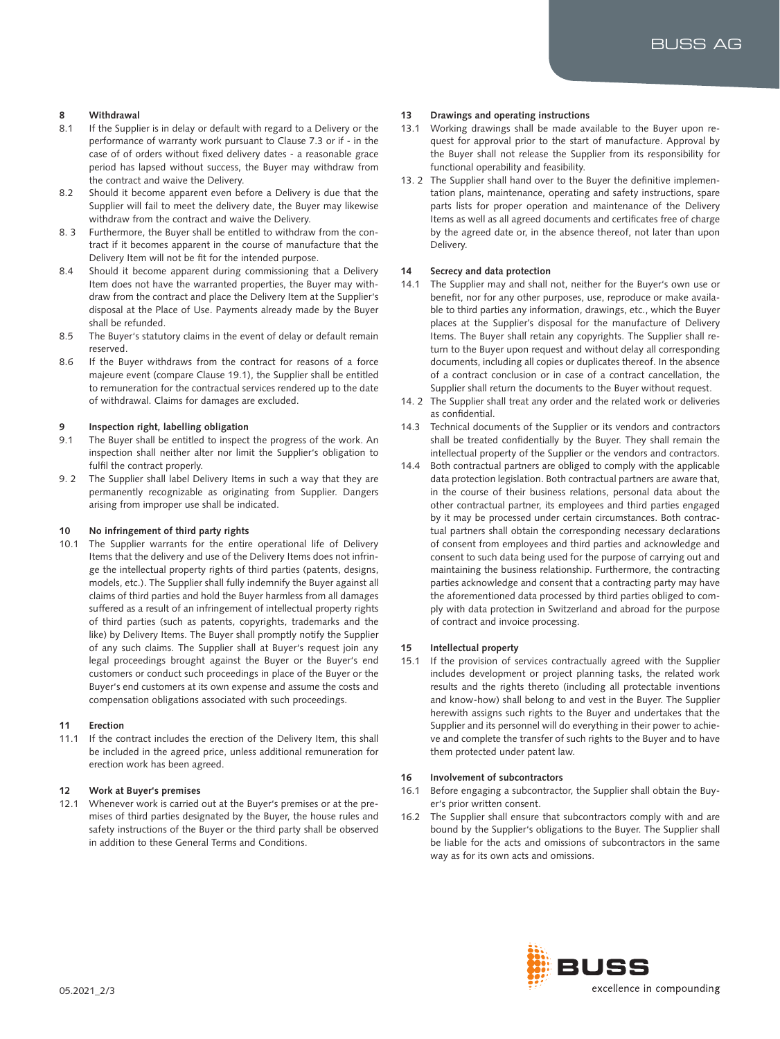# **8 Withdrawal**

- 8.1 If the Supplier is in delay or default with regard to a Delivery or the performance of warranty work pursuant to Clause 7.3 or if - in the case of of orders without fixed delivery dates - a reasonable grace period has lapsed without success, the Buyer may withdraw from the contract and waive the Delivery.
- 8.2 Should it become apparent even before a Delivery is due that the Supplier will fail to meet the delivery date, the Buyer may likewise withdraw from the contract and waive the Delivery.
- 8. 3 Furthermore, the Buyer shall be entitled to withdraw from the contract if it becomes apparent in the course of manufacture that the Delivery Item will not be fit for the intended purpose.
- 8.4 Should it become apparent during commissioning that a Delivery Item does not have the warranted properties, the Buyer may withdraw from the contract and place the Delivery Item at the Supplier's disposal at the Place of Use. Payments already made by the Buyer shall be refunded.
- 8.5 The Buyer's statutory claims in the event of delay or default remain reserved.
- 8.6 If the Buyer withdraws from the contract for reasons of a force majeure event (compare Clause 19.1), the Supplier shall be entitled to remuneration for the contractual services rendered up to the date of withdrawal. Claims for damages are excluded.

#### **9 Inspection right, labelling obligation**

- 9.1 The Buyer shall be entitled to inspect the progress of the work. An inspection shall neither alter nor limit the Supplier's obligation to fulfil the contract properly.
- 9. 2 The Supplier shall label Delivery Items in such a way that they are permanently recognizable as originating from Supplier. Dangers arising from improper use shall be indicated.

#### **10 No infringement of third party rights**

10.1 The Supplier warrants for the entire operational life of Delivery Items that the delivery and use of the Delivery Items does not infringe the intellectual property rights of third parties (patents, designs, models, etc.). The Supplier shall fully indemnify the Buyer against all claims of third parties and hold the Buyer harmless from all damages suffered as a result of an infringement of intellectual property rights of third parties (such as patents, copyrights, trademarks and the like) by Delivery Items. The Buyer shall promptly notify the Supplier of any such claims. The Supplier shall at Buyer's request join any legal proceedings brought against the Buyer or the Buyer's end customers or conduct such proceedings in place of the Buyer or the Buyer's end customers at its own expense and assume the costs and compensation obligations associated with such proceedings.

#### **11 Erection**

11.1 If the contract includes the erection of the Delivery Item, this shall be included in the agreed price, unless additional remuneration for erection work has been agreed.

## **12 Work at Buyer's premises**

12.1 Whenever work is carried out at the Buyer's premises or at the premises of third parties designated by the Buyer, the house rules and safety instructions of the Buyer or the third party shall be observed in addition to these General Terms and Conditions.

#### **13 Drawings and operating instructions**

- 13.1 Working drawings shall be made available to the Buyer upon request for approval prior to the start of manufacture. Approval by the Buyer shall not release the Supplier from its responsibility for functional operability and feasibility.
- 13. 2 The Supplier shall hand over to the Buyer the definitive implementation plans, maintenance, operating and safety instructions, spare parts lists for proper operation and maintenance of the Delivery Items as well as all agreed documents and certificates free of charge by the agreed date or, in the absence thereof, not later than upon Delivery.

#### **14 Secrecy and data protection**

- 14.1 The Supplier may and shall not, neither for the Buyer's own use or benefit, nor for any other purposes, use, reproduce or make available to third parties any information, drawings, etc., which the Buyer places at the Supplier's disposal for the manufacture of Delivery Items. The Buyer shall retain any copyrights. The Supplier shall return to the Buyer upon request and without delay all corresponding documents, including all copies or duplicates thereof. In the absence of a contract conclusion or in case of a contract cancellation, the Supplier shall return the documents to the Buyer without request.
- 14. 2 The Supplier shall treat any order and the related work or deliveries as confidential.
- 14.3 Technical documents of the Supplier or its vendors and contractors shall be treated confidentially by the Buyer. They shall remain the intellectual property of the Supplier or the vendors and contractors.
- 14.4 Both contractual partners are obliged to comply with the applicable data protection legislation. Both contractual partners are aware that, in the course of their business relations, personal data about the other contractual partner, its employees and third parties engaged by it may be processed under certain circumstances. Both contractual partners shall obtain the corresponding necessary declarations of consent from employees and third parties and acknowledge and consent to such data being used for the purpose of carrying out and maintaining the business relationship. Furthermore, the contracting parties acknowledge and consent that a contracting party may have the aforementioned data processed by third parties obliged to comply with data protection in Switzerland and abroad for the purpose of contract and invoice processing.

#### **15 Intellectual property**

15.1 If the provision of services contractually agreed with the Supplier includes development or project planning tasks, the related work results and the rights thereto (including all protectable inventions and know-how) shall belong to and vest in the Buyer. The Supplier herewith assigns such rights to the Buyer and undertakes that the Supplier and its personnel will do everything in their power to achieve and complete the transfer of such rights to the Buyer and to have them protected under patent law.

#### **16 Involvement of subcontractors**

- 16.1 Before engaging a subcontractor, the Supplier shall obtain the Buyer's prior written consent.
- 16.2 The Supplier shall ensure that subcontractors comply with and are bound by the Supplier's obligations to the Buyer. The Supplier shall be liable for the acts and omissions of subcontractors in the same way as for its own acts and omissions.